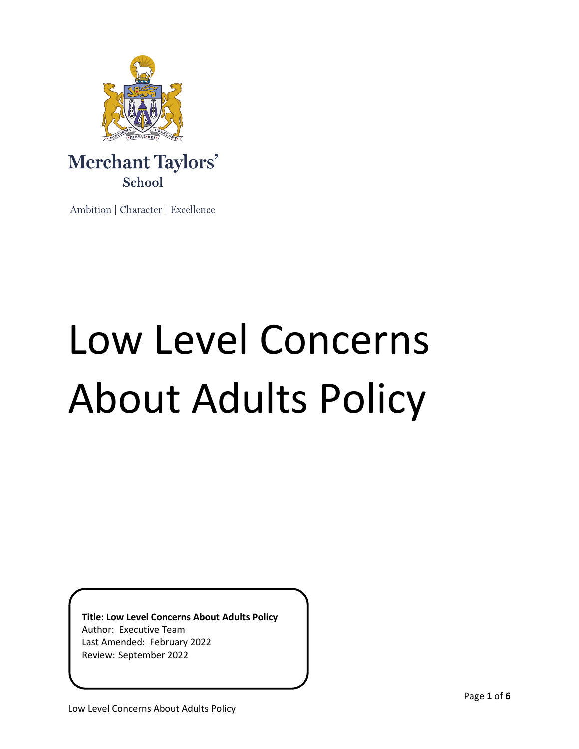

Ambition | Character | Excellence

# Low Level Concerns About Adults Policy

**Title: Low Level Concerns About Adults Policy** Author: Executive Team Last Amended: February 2022 Review: September 2022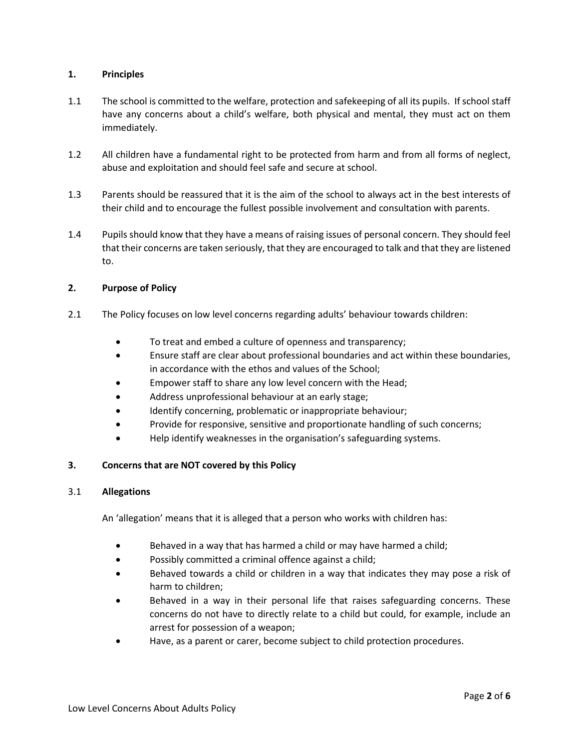## **1. Principles**

- 1.1 The school is committed to the welfare, protection and safekeeping of all its pupils. If school staff have any concerns about a child's welfare, both physical and mental, they must act on them immediately.
- 1.2 All children have a fundamental right to be protected from harm and from all forms of neglect, abuse and exploitation and should feel safe and secure at school.
- 1.3 Parents should be reassured that it is the aim of the school to always act in the best interests of their child and to encourage the fullest possible involvement and consultation with parents.
- 1.4 Pupils should know that they have a means of raising issues of personal concern. They should feel that their concerns are taken seriously, that they are encouraged to talk and that they are listened to.

#### **2. Purpose of Policy**

- 2.1 The Policy focuses on low level concerns regarding adults' behaviour towards children:
	- To treat and embed a culture of openness and transparency;
	- Ensure staff are clear about professional boundaries and act within these boundaries, in accordance with the ethos and values of the School;
	- Empower staff to share any low level concern with the Head;
	- Address unprofessional behaviour at an early stage;
	- Identify concerning, problematic or inappropriate behaviour;
	- Provide for responsive, sensitive and proportionate handling of such concerns;
	- Help identify weaknesses in the organisation's safeguarding systems.

# **3. Concerns that are NOT covered by this Policy**

#### 3.1 **Allegations**

An 'allegation' means that it is alleged that a person who works with children has:

- Behaved in a way that has harmed a child or may have harmed a child;
- Possibly committed a criminal offence against a child;
- Behaved towards a child or children in a way that indicates they may pose a risk of harm to children;
- Behaved in a way in their personal life that raises safeguarding concerns. These concerns do not have to directly relate to a child but could, for example, include an arrest for possession of a weapon;
- Have, as a parent or carer, become subject to child protection procedures.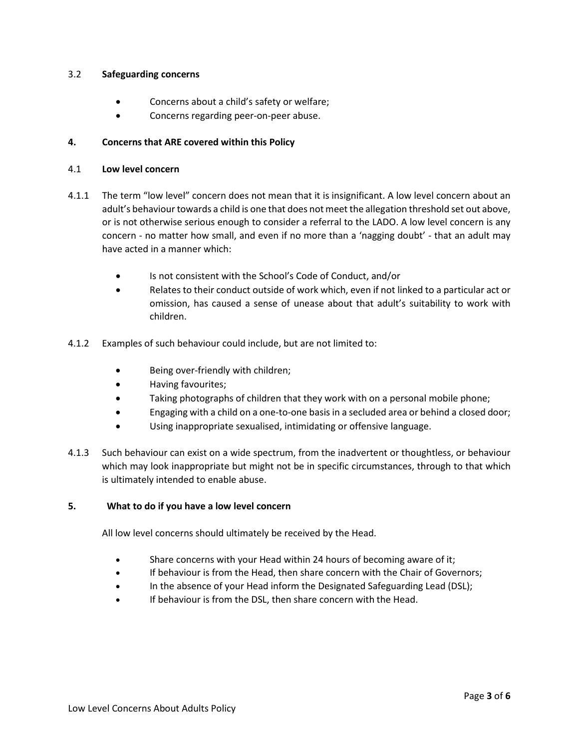#### 3.2 **Safeguarding concerns**

- Concerns about a child's safety or welfare;
- Concerns regarding peer-on-peer abuse.

## **4. Concerns that ARE covered within this Policy**

#### 4.1 **Low level concern**

- 4.1.1 The term "low level" concern does not mean that it is insignificant. A low level concern about an adult's behaviour towards a child is one that does not meet the allegation threshold set out above, or is not otherwise serious enough to consider a referral to the LADO. A low level concern is any concern - no matter how small, and even if no more than a 'nagging doubt' - that an adult may have acted in a manner which:
	- Is not consistent with the School's Code of Conduct, and/or
	- Relates to their conduct outside of work which, even if not linked to a particular act or omission, has caused a sense of unease about that adult's suitability to work with children.
- 4.1.2 Examples of such behaviour could include, but are not limited to:
	- Being over-friendly with children;
	- Having favourites;
	- Taking photographs of children that they work with on a personal mobile phone;
	- Engaging with a child on a one-to-one basis in a secluded area or behind a closed door;
	- Using inappropriate sexualised, intimidating or offensive language.
- 4.1.3 Such behaviour can exist on a wide spectrum, from the inadvertent or thoughtless, or behaviour which may look inappropriate but might not be in specific circumstances, through to that which is ultimately intended to enable abuse.

## **5. What to do if you have a low level concern**

All low level concerns should ultimately be received by the Head.

- Share concerns with your Head within 24 hours of becoming aware of it;
- If behaviour is from the Head, then share concern with the Chair of Governors;
- In the absence of your Head inform the Designated Safeguarding Lead (DSL);
- If behaviour is from the DSL, then share concern with the Head.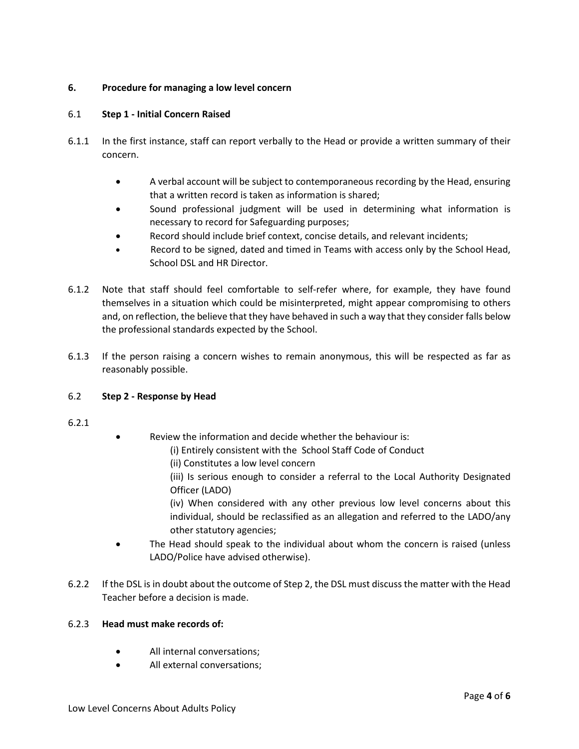# **6. Procedure for managing a low level concern**

# 6.1 **Step 1 - Initial Concern Raised**

- 6.1.1 In the first instance, staff can report verbally to the Head or provide a written summary of their concern.
	- A verbal account will be subject to contemporaneous recording by the Head, ensuring that a written record is taken as information is shared;
	- Sound professional judgment will be used in determining what information is necessary to record for Safeguarding purposes;
	- Record should include brief context, concise details, and relevant incidents;
	- Record to be signed, dated and timed in Teams with access only by the School Head, School DSL and HR Director.
- 6.1.2 Note that staff should feel comfortable to self-refer where, for example, they have found themselves in a situation which could be misinterpreted, might appear compromising to others and, on reflection, the believe that they have behaved in such a way that they consider falls below the professional standards expected by the School.
- 6.1.3 If the person raising a concern wishes to remain anonymous, this will be respected as far as reasonably possible.

# 6.2 **Step 2 - Response by Head**

- 6.2.1
- Review the information and decide whether the behaviour is:
	- (i) Entirely consistent with the School Staff Code of Conduct
		- (ii) Constitutes a low level concern
		- (iii) Is serious enough to consider a referral to the Local Authority Designated Officer (LADO)

(iv) When considered with any other previous low level concerns about this individual, should be reclassified as an allegation and referred to the LADO/any other statutory agencies;

- The Head should speak to the individual about whom the concern is raised (unless LADO/Police have advised otherwise).
- 6.2.2 If the DSL is in doubt about the outcome of Step 2, the DSL must discuss the matter with the Head Teacher before a decision is made.

## 6.2.3 **Head must make records of:**

- All internal conversations:
- All external conversations;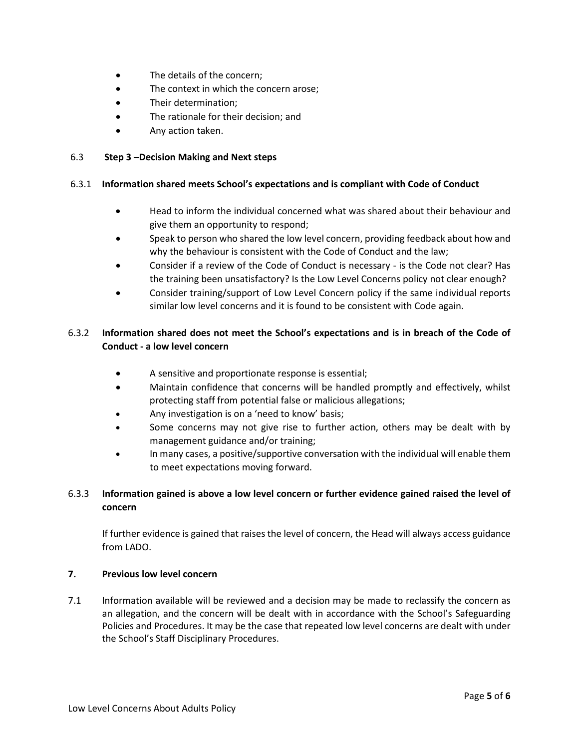- The details of the concern;
- The context in which the concern arose;
- Their determination;
- The rationale for their decision; and
- Any action taken.

#### 6.3 **Step 3 –Decision Making and Next steps**

#### 6.3.1 **Information shared meets School's expectations and is compliant with Code of Conduct**

- Head to inform the individual concerned what was shared about their behaviour and give them an opportunity to respond;
- Speak to person who shared the low level concern, providing feedback about how and why the behaviour is consistent with the Code of Conduct and the law;
- Consider if a review of the Code of Conduct is necessary is the Code not clear? Has the training been unsatisfactory? Is the Low Level Concerns policy not clear enough?
- Consider training/support of Low Level Concern policy if the same individual reports similar low level concerns and it is found to be consistent with Code again.

# 6.3.2 **Information shared does not meet the School's expectations and is in breach of the Code of Conduct - a low level concern**

- A sensitive and proportionate response is essential;
- Maintain confidence that concerns will be handled promptly and effectively, whilst protecting staff from potential false or malicious allegations;
- Any investigation is on a 'need to know' basis;
- Some concerns may not give rise to further action, others may be dealt with by management guidance and/or training;
- In many cases, a positive/supportive conversation with the individual will enable them to meet expectations moving forward.

# 6.3.3 **Information gained is above a low level concern or further evidence gained raised the level of concern**

If further evidence is gained that raises the level of concern, the Head will always access guidance from LADO.

## **7. Previous low level concern**

7.1 Information available will be reviewed and a decision may be made to reclassify the concern as an allegation, and the concern will be dealt with in accordance with the School's Safeguarding Policies and Procedures. It may be the case that repeated low level concerns are dealt with under the School's Staff Disciplinary Procedures.